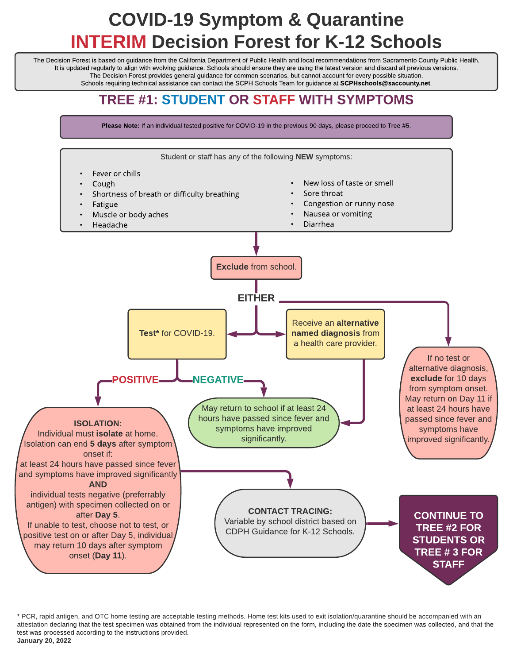# COVID-19 Symptom & Quarantine INTERIM Decision Forest for K-12 Schools

The Decision Forest is based on guidance from the California Department of Public Health and local recommendations from Sacramento County Public Health. It is updated regularly to align with evolving guidance. Schools should ensure they are using the latest version and discard all previous versions. The Decision Forest provides general guidance for common scenarios, but cannot account for every possible situation. Schools requiring technical assistance can contact the SCPH Schools Team for guidance at SCPHschools@saccounty.net.

### TREE #1: STUDENT OR STAFF WITH SYMPTOMS

Please Note: If an individual tested positive for COVID-19 in the previous 90 days, please proceed to Tree #5.



\* PCR, rapid antigen, and OTC home testing are acceptable testing methods. Home test kits used to exit isolation/quarantine should be accompanied with an attestation declaring that the test specimen was obtained from the individual represented on the form, including the date the specimen was collected, and that the test was processed according to the instructions provided. January 20, 2022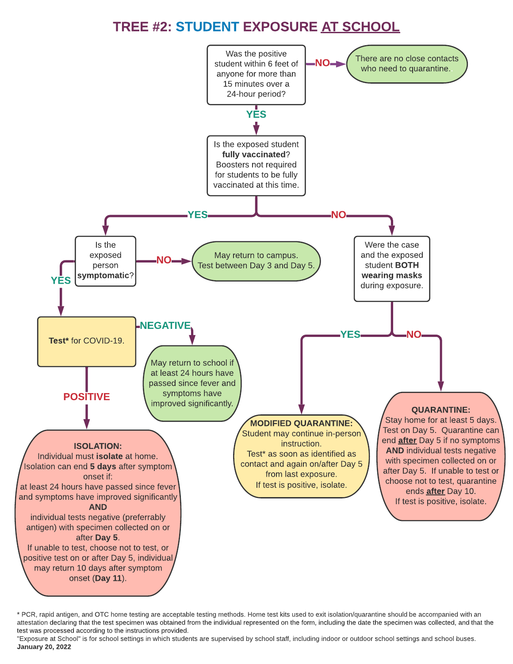### TREE #2: STUDENT EXPOSURE AT SCHOOL



\* PCR, rapid antigen, and OTC home testing are acceptable testing methods. Home test kits used to exit isolation/quarantine should be accompanied with an attestation declaring that the test specimen was obtained from the individual represented on the form, including the date the specimen was collected, and that the test was processed according to the instructions provided.

"Exposure at School" is for school settings in which students are supervised by school staff, including indoor or outdoor school settings and school buses. January 20, 2022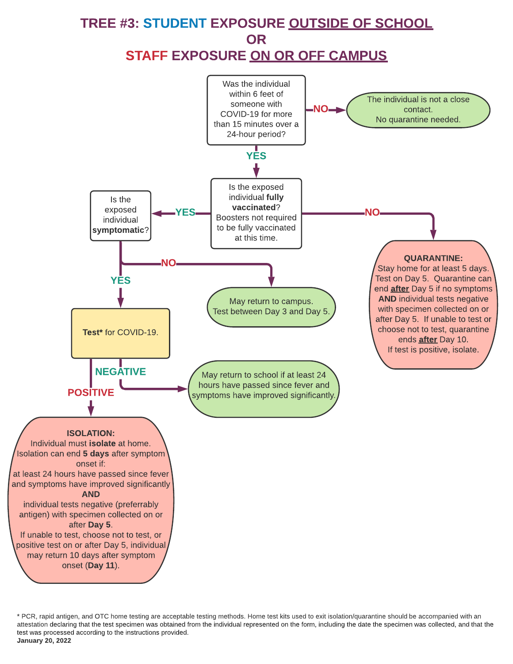

\* PCR, rapid antigen, and OTC home testing are acceptable testing methods. Home test kits used to exit isolation/quarantine should be accompanied with an attestation declaring that the test specimen was obtained from the individual represented on the form, including the date the specimen was collected, and that the test was processed according to the instructions provided. January 20, 2022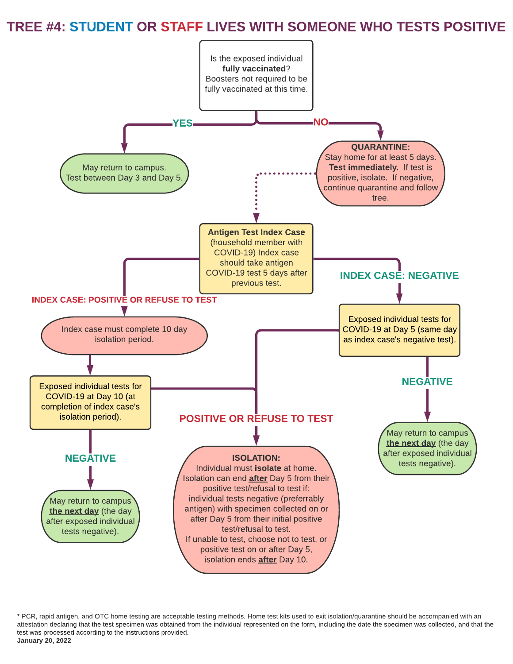#### TREE #4: STUDENT OR STAFF LIVES WITH SOMEONE WHO TESTS POSITIVE



\* PCR, rapid antigen, and OTC home testing are acceptable testing methods. Home test kits used to exit isolation/quarantine should be accompanied with an attestation declaring that the test specimen was obtained from the individual represented on the form, including the date the specimen was collected, and that the test was processed according to the instructions provided. January 20, 2022